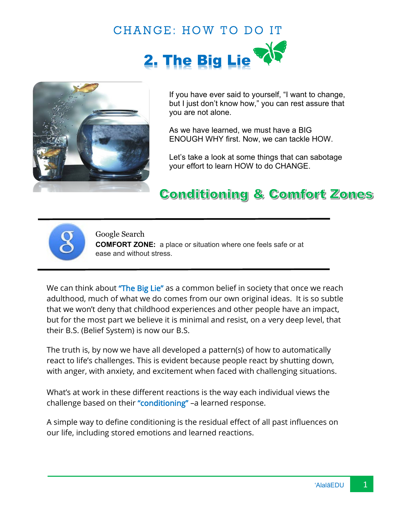



If you have ever said to yourself, "I want to change, but I just don't know how," you can rest assure that you are not alone.

As we have learned, we must have a BIG ENOUGH WHY first. Now, we can tackle HOW.

Let's take a look at some things that can sabotage your effort to learn HOW to do CHANGE.

## **Conditioning & Comfort Zones**



Google Search

**COMFORT ZONE:** a place or situation where one feels safe or at ease and without stress.

We can think about "The Big Lie" as a common belief in society that once we reach adulthood, much of what we do comes from our own original ideas. It is so subtle that we won't deny that childhood experiences and other people have an impact, but for the most part we believe it is minimal and resist, on a very deep level, that their B.S. (Belief System) is now our B.S.

The truth is, by now we have all developed a pattern(s) of how to automatically react to life's challenges. This is evident because people react by shutting down, with anger, with anxiety, and excitement when faced with challenging situations.

What's at work in these different reactions is the way each individual views the challenge based on their "conditioning" –a learned response.

A simple way to define conditioning is the residual effect of all past influences on our life, including stored emotions and learned reactions.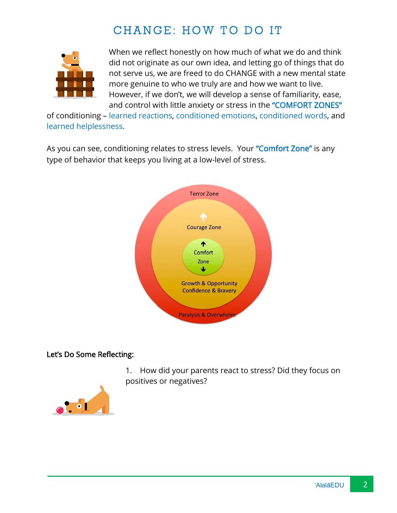## CHANGE: HOW TO DO IT



When we reflect honestly on how much of what we do and think did not originate as our own idea, and letting go of things that do not serve us, we are freed to do CHANGE with a new mental state more genuine to who we truly are and how we want to live. However, if we don't, we will develop a sense of familiarity, ease, and control with little anxiety or stress in the "COMFORT ZONES"

of conditioning – learned reactions, conditioned emotions, conditioned words, and learned helplessness.

As you can see, conditioning relates to stress levels. Your "Comfort Zone" is any type of behavior that keeps you living at a low-level of stress.



## Let's Do Some Reflecting:



1. How did your parents react to stress? Did they focus on positives or negatives?